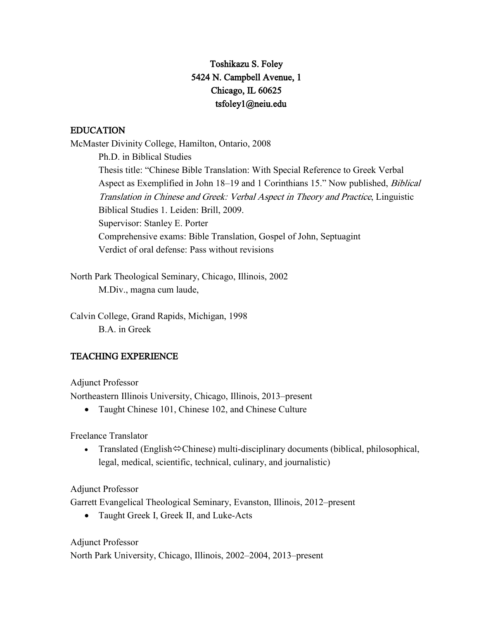# Toshikazu S. Foley 5424 N. Campbell Avenue, 1 Chicago, IL 60625 tsfoley1@neiu.edu

# EDUCATION

McMaster Divinity College, Hamilton, Ontario, 2008 Ph.D. in Biblical Studies Thesis title: "Chinese Bible Translation: With Special Reference to Greek Verbal Aspect as Exemplified in John 18–19 and 1 Corinthians 15." Now published, Biblical Translation in Chinese and Greek: Verbal Aspect in Theory and Practice, Linguistic Biblical Studies 1. Leiden: Brill, 2009. Supervisor: Stanley E. Porter Comprehensive exams: Bible Translation, Gospel of John, Septuagint Verdict of oral defense: Pass without revisions

North Park Theological Seminary, Chicago, Illinois, 2002 M.Div., magna cum laude,

Calvin College, Grand Rapids, Michigan, 1998 B.A. in Greek

# TEACHING EXPERIENCE

Adjunct Professor

Northeastern Illinois University, Chicago, Illinois, 2013–present

• Taught Chinese 101, Chinese 102, and Chinese Culture

Freelance Translator

• Translated (English $\Leftrightarrow$ Chinese) multi-disciplinary documents (biblical, philosophical, legal, medical, scientific, technical, culinary, and journalistic)

Adjunct Professor

Garrett Evangelical Theological Seminary, Evanston, Illinois, 2012–present

• Taught Greek I, Greek II, and Luke-Acts

Adjunct Professor

North Park University, Chicago, Illinois, 2002–2004, 2013–present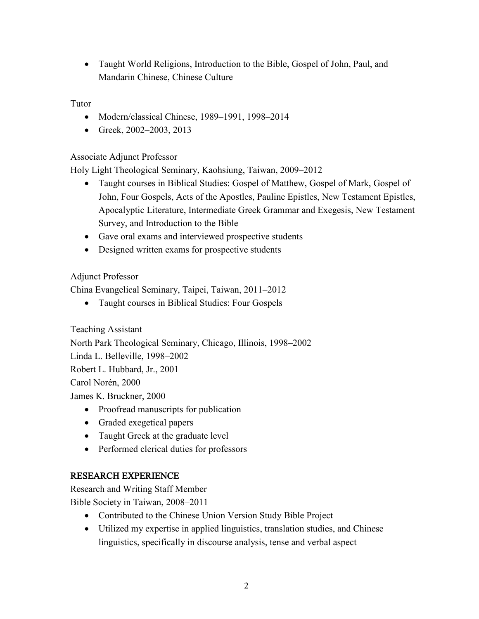• Taught World Religions, Introduction to the Bible, Gospel of John, Paul, and Mandarin Chinese, Chinese Culture

### Tutor

- Modern/classical Chinese, 1989–1991, 1998–2014
- Greek, 2002–2003, 2013

### Associate Adjunct Professor

Holy Light Theological Seminary, Kaohsiung, Taiwan, 2009–2012

- Taught courses in Biblical Studies: Gospel of Matthew, Gospel of Mark, Gospel of John, Four Gospels, Acts of the Apostles, Pauline Epistles, New Testament Epistles, Apocalyptic Literature, Intermediate Greek Grammar and Exegesis, New Testament Survey, and Introduction to the Bible
- Gave oral exams and interviewed prospective students
- Designed written exams for prospective students

### Adjunct Professor

China Evangelical Seminary, Taipei, Taiwan, 2011–2012

• Taught courses in Biblical Studies: Four Gospels

Teaching Assistant

North Park Theological Seminary, Chicago, Illinois, 1998–2002

Linda L. Belleville, 1998–2002

Robert L. Hubbard, Jr., 2001

Carol Norén, 2000

James K. Bruckner, 2000

- Proofread manuscripts for publication
- Graded exegetical papers
- Taught Greek at the graduate level
- Performed clerical duties for professors

# RESEARCH EXPERIENCE

Research and Writing Staff Member

Bible Society in Taiwan, 2008–2011

- Contributed to the Chinese Union Version Study Bible Project
- Utilized my expertise in applied linguistics, translation studies, and Chinese linguistics, specifically in discourse analysis, tense and verbal aspect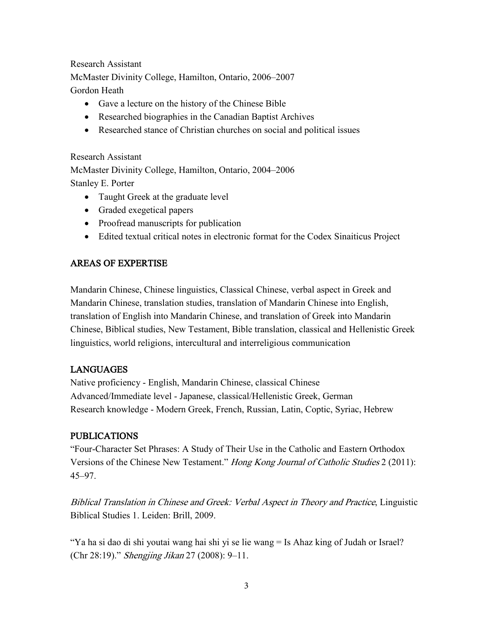### Research Assistant

McMaster Divinity College, Hamilton, Ontario, 2006–2007 Gordon Heath

- Gave a lecture on the history of the Chinese Bible
- Researched biographies in the Canadian Baptist Archives
- Researched stance of Christian churches on social and political issues

Research Assistant McMaster Divinity College, Hamilton, Ontario, 2004–2006 Stanley E. Porter

- Taught Greek at the graduate level
- Graded exegetical papers
- Proofread manuscripts for publication
- Edited textual critical notes in electronic format for the Codex Sinaiticus Project

### AREAS OF EXPERTISE

Mandarin Chinese, Chinese linguistics, Classical Chinese, verbal aspect in Greek and Mandarin Chinese, translation studies, translation of Mandarin Chinese into English, translation of English into Mandarin Chinese, and translation of Greek into Mandarin Chinese, Biblical studies, New Testament, Bible translation, classical and Hellenistic Greek linguistics, world religions, intercultural and interreligious communication

# LANGUAGES

Native proficiency - English, Mandarin Chinese, classical Chinese Advanced/Immediate level - Japanese, classical/Hellenistic Greek, German Research knowledge - Modern Greek, French, Russian, Latin, Coptic, Syriac, Hebrew

### PUBLICATIONS

"Four-Character Set Phrases: A Study of Their Use in the Catholic and Eastern Orthodox Versions of the Chinese New Testament." Hong Kong Journal of Catholic Studies 2 (2011): 45–97.

Biblical Translation in Chinese and Greek: Verbal Aspect in Theory and Practice, Linguistic Biblical Studies 1. Leiden: Brill, 2009.

"Ya ha si dao di shi youtai wang hai shi yi se lie wang = Is Ahaz king of Judah or Israel? (Chr 28:19)." Shengjing Jikan 27 (2008): 9–11.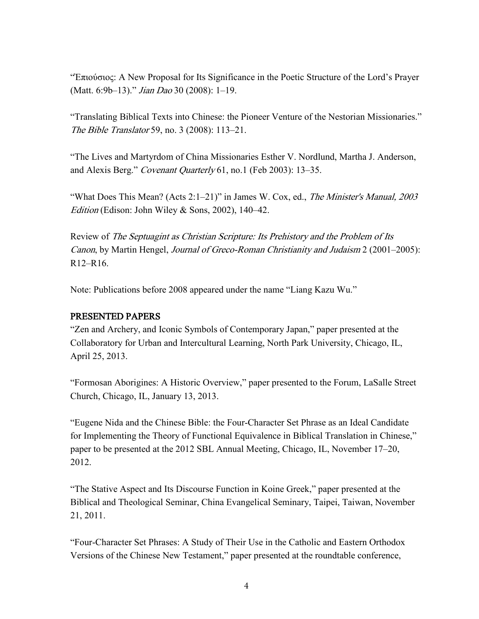"Ἐπιούσιος: A New Proposal for Its Significance in the Poetic Structure of the Lord's Prayer (Matt. 6:9b-13)." *Jian Dao* 30 (2008): 1-19.

"Translating Biblical Texts into Chinese: the Pioneer Venture of the Nestorian Missionaries." The Bible Translator 59, no. 3 (2008): 113–21.

"The Lives and Martyrdom of China Missionaries Esther V. Nordlund, Martha J. Anderson, and Alexis Berg." Covenant Quarterly 61, no.1 (Feb 2003): 13–35.

"What Does This Mean? (Acts 2:1–21)" in James W. Cox, ed., The Minister's Manual, 2003 Edition (Edison: John Wiley & Sons, 2002), 140–42.

Review of The Septuagint as Christian Scripture: Its Prehistory and the Problem of Its Canon, by Martin Hengel, Journal of Greco-Roman Christianity and Judaism 2 (2001–2005): R12–R16.

Note: Publications before 2008 appeared under the name "Liang Kazu Wu."

#### PRESENTED PAPERS

"Zen and Archery, and Iconic Symbols of Contemporary Japan," paper presented at the Collaboratory for Urban and Intercultural Learning, North Park University, Chicago, IL, April 25, 2013.

"Formosan Aborigines: A Historic Overview," paper presented to the Forum, LaSalle Street Church, Chicago, IL, January 13, 2013.

"Eugene Nida and the Chinese Bible: the Four-Character Set Phrase as an Ideal Candidate for Implementing the Theory of Functional Equivalence in Biblical Translation in Chinese," paper to be presented at the 2012 SBL Annual Meeting, Chicago, IL, November 17–20, 2012.

"The Stative Aspect and Its Discourse Function in Koine Greek," paper presented at the Biblical and Theological Seminar, China Evangelical Seminary, Taipei, Taiwan, November 21, 2011.

"Four-Character Set Phrases: A Study of Their Use in the Catholic and Eastern Orthodox Versions of the Chinese New Testament," paper presented at the roundtable conference,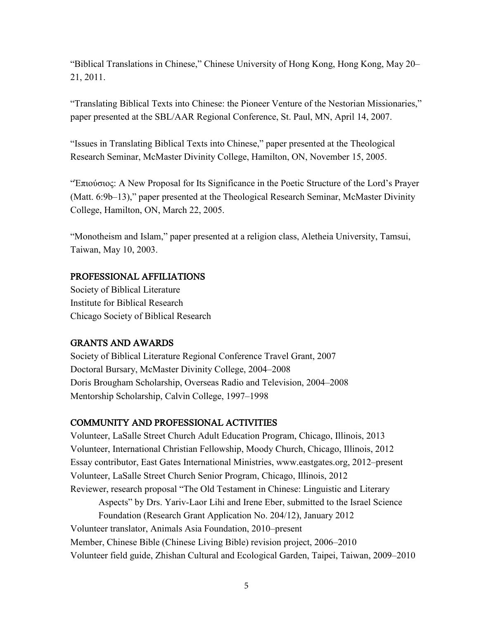"Biblical Translations in Chinese," Chinese University of Hong Kong, Hong Kong, May 20– 21, 2011.

"Translating Biblical Texts into Chinese: the Pioneer Venture of the Nestorian Missionaries," paper presented at the SBL/AAR Regional Conference, St. Paul, MN, April 14, 2007.

"Issues in Translating Biblical Texts into Chinese," paper presented at the Theological Research Seminar, McMaster Divinity College, Hamilton, ON, November 15, 2005.

"Ἐπιούσιος: A New Proposal for Its Significance in the Poetic Structure of the Lord's Prayer (Matt. 6:9b–13)," paper presented at the Theological Research Seminar, McMaster Divinity College, Hamilton, ON, March 22, 2005.

"Monotheism and Islam," paper presented at a religion class, Aletheia University, Tamsui, Taiwan, May 10, 2003.

#### PROFESSIONAL AFFILIATIONS

Society of Biblical Literature Institute for Biblical Research Chicago Society of Biblical Research

#### GRANTS AND AWARDS

Society of Biblical Literature Regional Conference Travel Grant, 2007 Doctoral Bursary, McMaster Divinity College, 2004–2008 Doris Brougham Scholarship, Overseas Radio and Television, 2004–2008 Mentorship Scholarship, Calvin College, 1997–1998

#### COMMUNITY AND PROFESSIONAL ACTIVITIES

Volunteer, LaSalle Street Church Adult Education Program, Chicago, Illinois, 2013 Volunteer, International Christian Fellowship, Moody Church, Chicago, Illinois, 2012 Essay contributor, East Gates International Ministries, www.eastgates.org, 2012–present Volunteer, LaSalle Street Church Senior Program, Chicago, Illinois, 2012 Reviewer, research proposal "The Old Testament in Chinese: Linguistic and Literary

Aspects" by Drs. Yariv-Laor Lihi and Irene Eber, submitted to the Israel Science Foundation (Research Grant Application No. 204/12), January 2012 Volunteer translator, Animals Asia Foundation, 2010–present Member, Chinese Bible (Chinese Living Bible) revision project, 2006–2010 Volunteer field guide, Zhishan Cultural and Ecological Garden, Taipei, Taiwan, 2009–2010